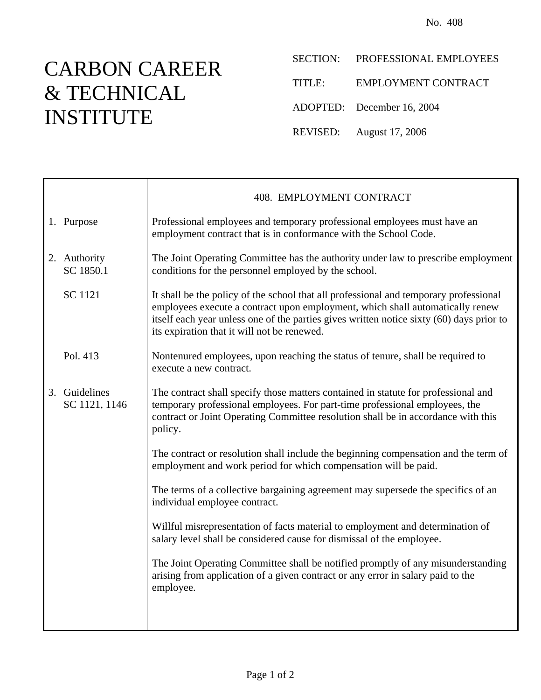## CARBON CAREER & TECHNICAL INSTITUTE

Τ

 $\Gamma$ 

- SECTION: PROFESSIONAL EMPLOYEES
- TITLE: EMPLOYMENT CONTRACT
- ADOPTED: December 16, 2004
- REVISED: August 17, 2006

|                                | 408. EMPLOYMENT CONTRACT                                                                                                                                                                                                                                                                                          |  |  |
|--------------------------------|-------------------------------------------------------------------------------------------------------------------------------------------------------------------------------------------------------------------------------------------------------------------------------------------------------------------|--|--|
| 1. Purpose                     | Professional employees and temporary professional employees must have an<br>employment contract that is in conformance with the School Code.                                                                                                                                                                      |  |  |
| 2. Authority<br>SC 1850.1      | The Joint Operating Committee has the authority under law to prescribe employment<br>conditions for the personnel employed by the school.                                                                                                                                                                         |  |  |
| SC 1121                        | It shall be the policy of the school that all professional and temporary professional<br>employees execute a contract upon employment, which shall automatically renew<br>itself each year unless one of the parties gives written notice sixty (60) days prior to<br>its expiration that it will not be renewed. |  |  |
| Pol. 413                       | Nontenured employees, upon reaching the status of tenure, shall be required to<br>execute a new contract.                                                                                                                                                                                                         |  |  |
| 3. Guidelines<br>SC 1121, 1146 | The contract shall specify those matters contained in statute for professional and<br>temporary professional employees. For part-time professional employees, the<br>contract or Joint Operating Committee resolution shall be in accordance with this<br>policy.                                                 |  |  |
|                                | The contract or resolution shall include the beginning compensation and the term of<br>employment and work period for which compensation will be paid.                                                                                                                                                            |  |  |
|                                | The terms of a collective bargaining agreement may supersede the specifics of an<br>individual employee contract.                                                                                                                                                                                                 |  |  |
|                                | Willful misrepresentation of facts material to employment and determination of<br>salary level shall be considered cause for dismissal of the employee.                                                                                                                                                           |  |  |
|                                | The Joint Operating Committee shall be notified promptly of any misunderstanding<br>arising from application of a given contract or any error in salary paid to the<br>employee.                                                                                                                                  |  |  |
|                                |                                                                                                                                                                                                                                                                                                                   |  |  |